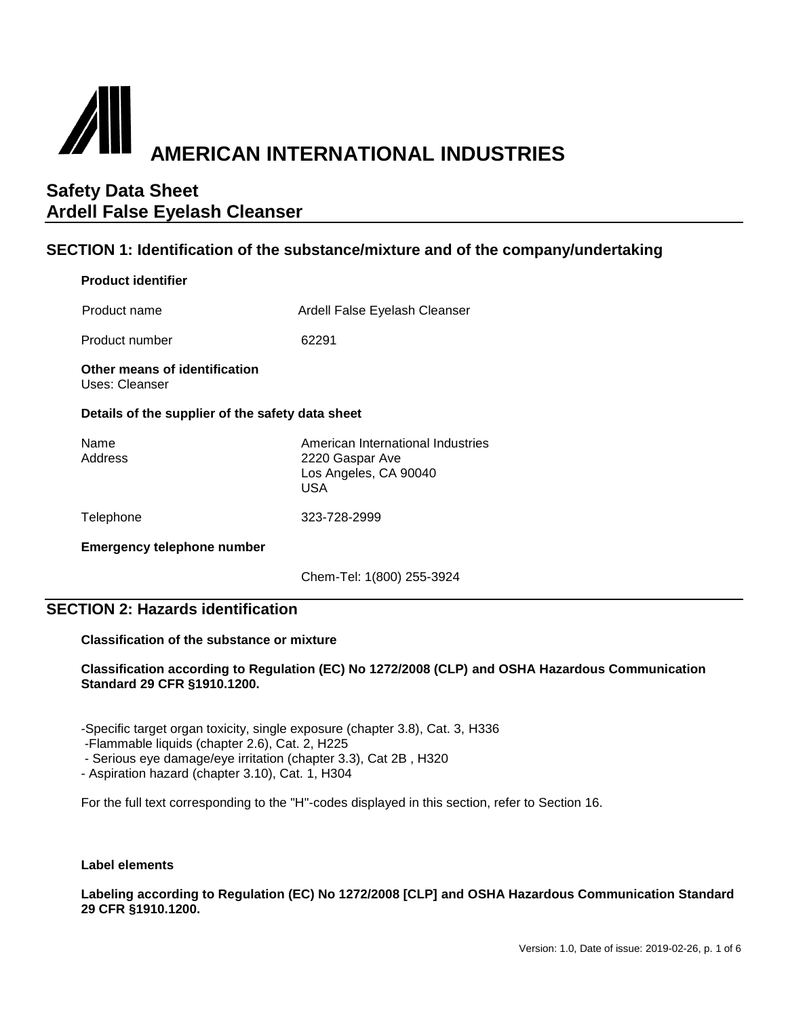

## **SECTION 1: Identification of the substance/mixture and of the company/undertaking**

#### **Product identifier**

Product name Ardell False Eyelash Cleanser

Product number 62291

**Other means of identification** Uses: Cleanser

#### **Details of the supplier of the safety data sheet**

| Name<br>Address | American International Industries<br>2220 Gaspar Ave<br>Los Angeles, CA 90040<br>USA |
|-----------------|--------------------------------------------------------------------------------------|
|                 |                                                                                      |

Telephone 323-728-2999

**Emergency telephone number**

Chem-Tel: 1(800) 255-3924

## **SECTION 2: Hazards identification**

#### **Classification of the substance or mixture**

#### **Classification according to Regulation (EC) No 1272/2008 (CLP) and OSHA Hazardous Communication Standard 29 CFR §1910.1200.**

-Specific target organ toxicity, single exposure (chapter 3.8), Cat. 3, H336

-Flammable liquids (chapter 2.6), Cat. 2, H225

- Serious eye damage/eye irritation (chapter 3.3), Cat 2B , H320

- Aspiration hazard (chapter 3.10), Cat. 1, H304

For the full text corresponding to the "H"-codes displayed in this section, refer to Section 16.

#### **Label elements**

**Labeling according to Regulation (EC) No 1272/2008 [CLP] and OSHA Hazardous Communication Standard 29 CFR §1910.1200.**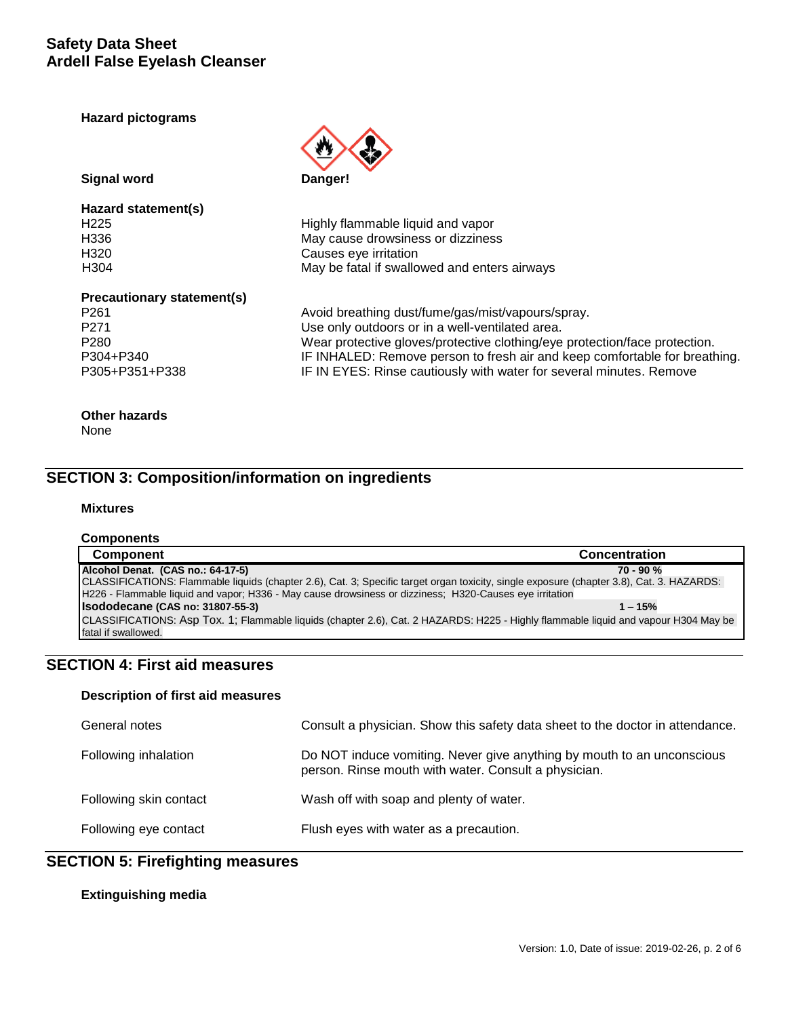**Hazard pictograms**



**Signal word Danger!** 

# **Hazard statement(s)**

H225 **Highly flammable liquid and vapor**<br>H336 **H336** H336 H336 May cause drowsiness or dizziness<br>H320 H320 Causes eye irritation H304 May be fatal if swallowed and enters airways

#### **Precautionary statement(s)**

P261 **Avoid breathing dust/fume/gas/mist/vapours/spray.** P271 Use only outdoors or in a well-ventilated area. P280 Wear protective gloves/protective clothing/eye protection/face protection.<br>IF INHALED: Remove person to fresh air and keep comfortable for breath P304+P340 IF INHALED: Remove person to fresh air and keep comfortable for breathing.<br>P305+P351+P338 IF IN EYES: Rinse cautiously with water for several minutes. Remove IF IN EYES: Rinse cautiously with water for several minutes. Remove

## **Other hazards**

None

## **SECTION 3: Composition/information on ingredients**

#### **Mixtures**

#### **Components**

| <b>Component</b>                                                                                                                          | <b>Concentration</b> |
|-------------------------------------------------------------------------------------------------------------------------------------------|----------------------|
| Alcohol Denat. (CAS no.: 64-17-5)                                                                                                         | $70 - 90 %$          |
| CLASSIFICATIONS: Flammable liquids (chapter 2.6), Cat. 3; Specific target organ toxicity, single exposure (chapter 3.8), Cat. 3. HAZARDS: |                      |
| H226 - Flammable liquid and vapor; H336 - May cause drowsiness or dizziness; H320-Causes eye irritation                                   |                      |
| Isododecane (CAS no: 31807-55-3)                                                                                                          | $1 - 15%$            |
| CLASSIFICATIONS: Asp Tox. 1; Flammable liquids (chapter 2.6), Cat. 2 HAZARDS: H225 - Highly flammable liquid and vapour H304 May be       |                      |
| fatal if swallowed.                                                                                                                       |                      |

## **SECTION 4: First aid measures**

#### **Description of first aid measures**

| General notes          | Consult a physician. Show this safety data sheet to the doctor in attendance.                                                  |
|------------------------|--------------------------------------------------------------------------------------------------------------------------------|
| Following inhalation   | Do NOT induce vomiting. Never give anything by mouth to an unconscious<br>person. Rinse mouth with water. Consult a physician. |
| Following skin contact | Wash off with soap and plenty of water.                                                                                        |
| Following eye contact  | Flush eyes with water as a precaution.                                                                                         |

## **SECTION 5: Firefighting measures**

#### **Extinguishing media**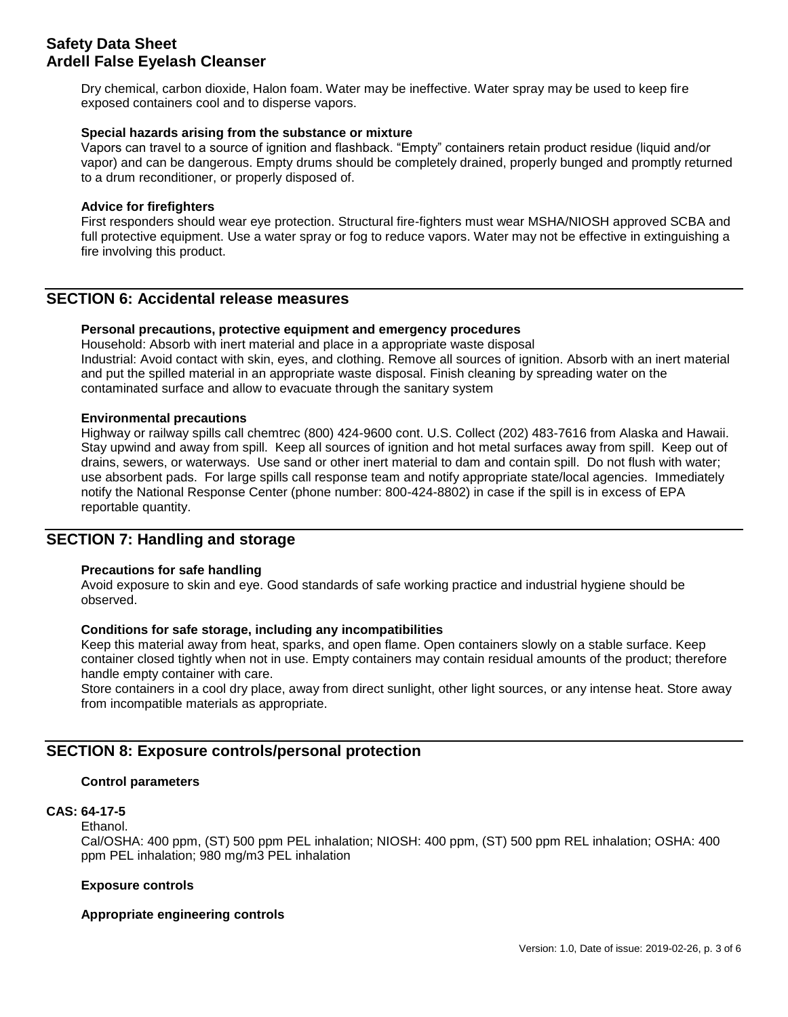Dry chemical, carbon dioxide, Halon foam. Water may be ineffective. Water spray may be used to keep fire exposed containers cool and to disperse vapors.

#### **Special hazards arising from the substance or mixture**

Vapors can travel to a source of ignition and flashback. "Empty" containers retain product residue (liquid and/or vapor) and can be dangerous. Empty drums should be completely drained, properly bunged and promptly returned to a drum reconditioner, or properly disposed of.

#### **Advice for firefighters**

First responders should wear eye protection. Structural fire-fighters must wear MSHA/NIOSH approved SCBA and full protective equipment. Use a water spray or fog to reduce vapors. Water may not be effective in extinguishing a fire involving this product.

## **SECTION 6: Accidental release measures**

#### **Personal precautions, protective equipment and emergency procedures**

Household: Absorb with inert material and place in a appropriate waste disposal Industrial: Avoid contact with skin, eyes, and clothing. Remove all sources of ignition. Absorb with an inert material and put the spilled material in an appropriate waste disposal. Finish cleaning by spreading water on the contaminated surface and allow to evacuate through the sanitary system

#### **Environmental precautions**

Highway or railway spills call chemtrec (800) 424-9600 cont. U.S. Collect (202) 483-7616 from Alaska and Hawaii. Stay upwind and away from spill. Keep all sources of ignition and hot metal surfaces away from spill. Keep out of drains, sewers, or waterways. Use sand or other inert material to dam and contain spill. Do not flush with water; use absorbent pads. For large spills call response team and notify appropriate state/local agencies. Immediately notify the National Response Center (phone number: 800-424-8802) in case if the spill is in excess of EPA reportable quantity.

## **SECTION 7: Handling and storage**

#### **Precautions for safe handling**

Avoid exposure to skin and eye. Good standards of safe working practice and industrial hygiene should be observed.

#### **Conditions for safe storage, including any incompatibilities**

Keep this material away from heat, sparks, and open flame. Open containers slowly on a stable surface. Keep container closed tightly when not in use. Empty containers may contain residual amounts of the product; therefore handle empty container with care.

Store containers in a cool dry place, away from direct sunlight, other light sources, or any intense heat. Store away from incompatible materials as appropriate.

## **SECTION 8: Exposure controls/personal protection**

#### **Control parameters**

#### **CAS: 64-17-5**

Ethanol. Cal/OSHA: 400 ppm, (ST) 500 ppm PEL inhalation; NIOSH: 400 ppm, (ST) 500 ppm REL inhalation; OSHA: 400 ppm PEL inhalation; 980 mg/m3 PEL inhalation

#### **Exposure controls**

#### **Appropriate engineering controls**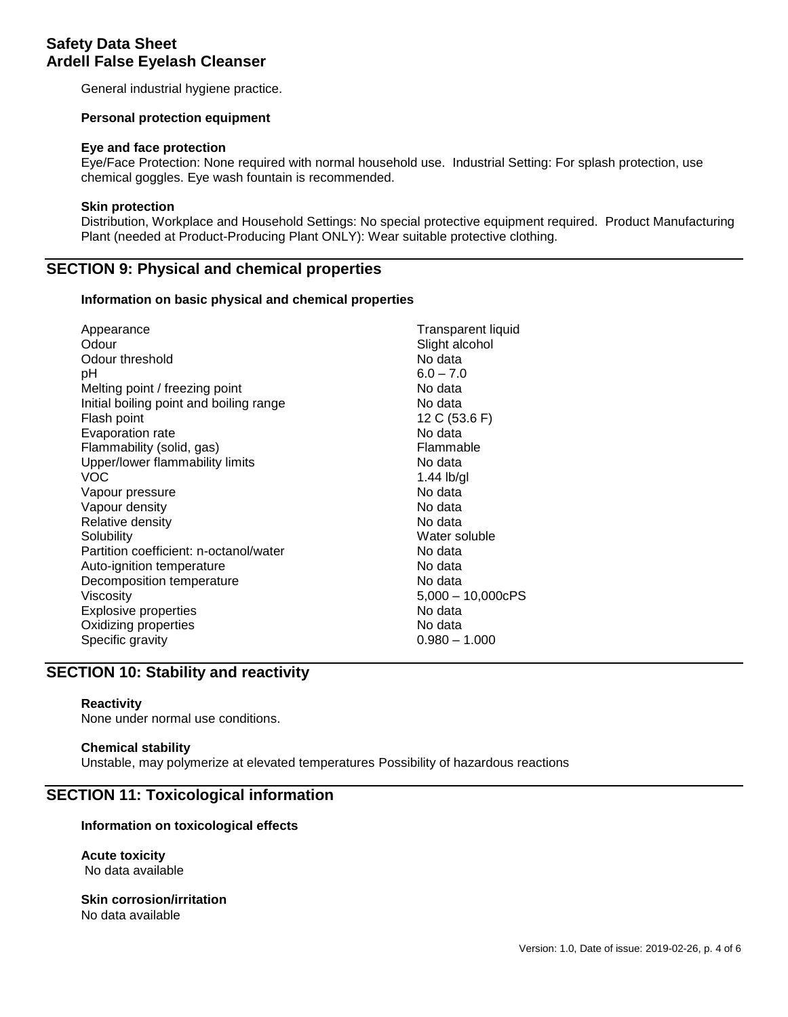General industrial hygiene practice.

#### **Personal protection equipment**

#### **Eye and face protection**

Eye/Face Protection: None required with normal household use. Industrial Setting: For splash protection, use chemical goggles. Eye wash fountain is recommended.

#### **Skin protection**

Distribution, Workplace and Household Settings: No special protective equipment required. Product Manufacturing Plant (needed at Product-Producing Plant ONLY): Wear suitable protective clothing.

## **SECTION 9: Physical and chemical properties**

#### **Information on basic physical and chemical properties**

| Appearance                              | <b>Transparent liquid</b> |
|-----------------------------------------|---------------------------|
| Odour                                   | Slight alcohol            |
| Odour threshold                         | No data                   |
| рH                                      | $6.0 - 7.0$               |
| Melting point / freezing point          | No data                   |
| Initial boiling point and boiling range | No data                   |
| Flash point                             | 12 C (53.6 F)             |
| Evaporation rate                        | No data                   |
| Flammability (solid, gas)               | Flammable                 |
| Upper/lower flammability limits         | No data                   |
| VOC                                     | $1.44$ lb/gl              |
| Vapour pressure                         | No data                   |
| Vapour density                          | No data                   |
| Relative density                        | No data                   |
| Solubility                              | Water soluble             |
| Partition coefficient: n-octanol/water  | No data                   |
| Auto-ignition temperature               | No data                   |
| Decomposition temperature               | No data                   |
| Viscosity                               | $5,000 - 10,000cPS$       |
| <b>Explosive properties</b>             | No data                   |
|                                         |                           |
| Oxidizing properties                    | No data                   |
| Specific gravity                        | $0.980 - 1.000$           |
|                                         |                           |

## **SECTION 10: Stability and reactivity**

#### **Reactivity**

None under normal use conditions.

#### **Chemical stability**

Unstable, may polymerize at elevated temperatures Possibility of hazardous reactions

#### **SECTION 11: Toxicological information**

#### **Information on toxicological effects**

**Acute toxicity** No data available

#### **Skin corrosion/irritation** No data available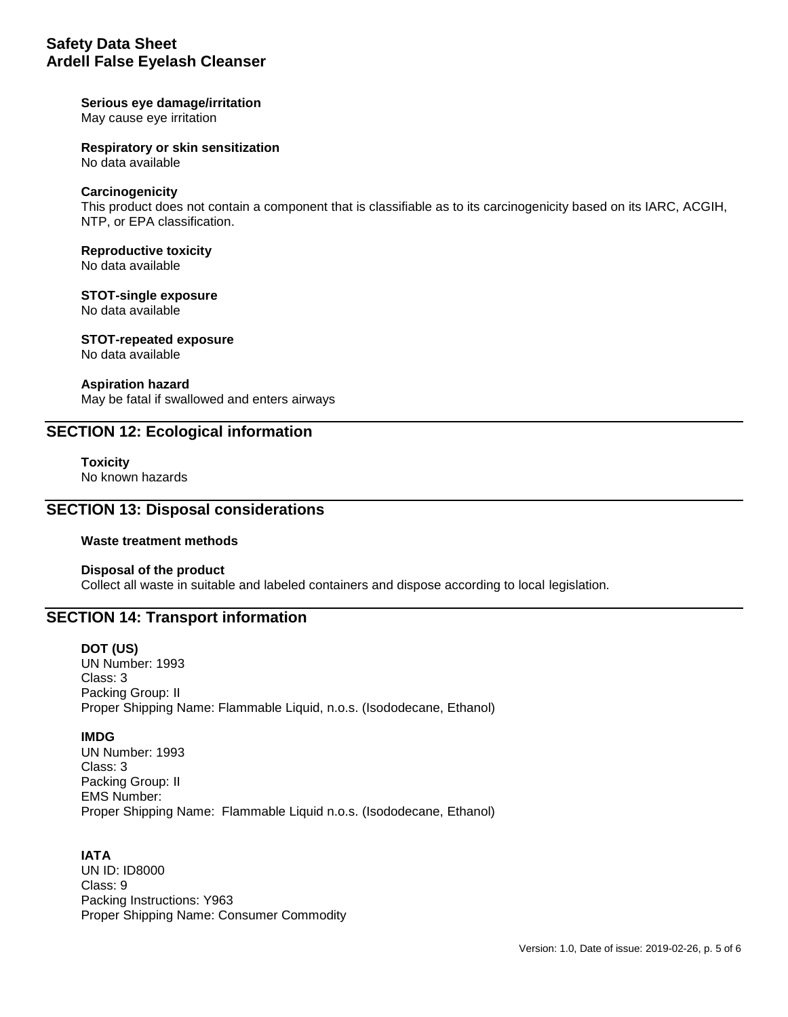#### **Serious eye damage/irritation**

May cause eye irritation

**Respiratory or skin sensitization**

No data available

#### **Carcinogenicity**

This product does not contain a component that is classifiable as to its carcinogenicity based on its IARC, ACGIH, NTP, or EPA classification.

## **Reproductive toxicity**

No data available

## **STOT-single exposure**

No data available

## **STOT-repeated exposure**

No data available

#### **Aspiration hazard**

May be fatal if swallowed and enters airways

## **SECTION 12: Ecological information**

**Toxicity** No known hazards

## **SECTION 13: Disposal considerations**

#### **Waste treatment methods**

#### **Disposal of the product** Collect all waste in suitable and labeled containers and dispose according to local legislation.

## **SECTION 14: Transport information**

#### **DOT (US)**

UN Number: 1993 Class: 3 Packing Group: II Proper Shipping Name: Flammable Liquid, n.o.s. (Isododecane, Ethanol)

#### **IMDG**

UN Number: 1993 Class: 3 Packing Group: II EMS Number: Proper Shipping Name: Flammable Liquid n.o.s. (Isododecane, Ethanol)

#### **IATA**

UN ID: ID8000 Class: 9 Packing Instructions: Y963 Proper Shipping Name: Consumer Commodity